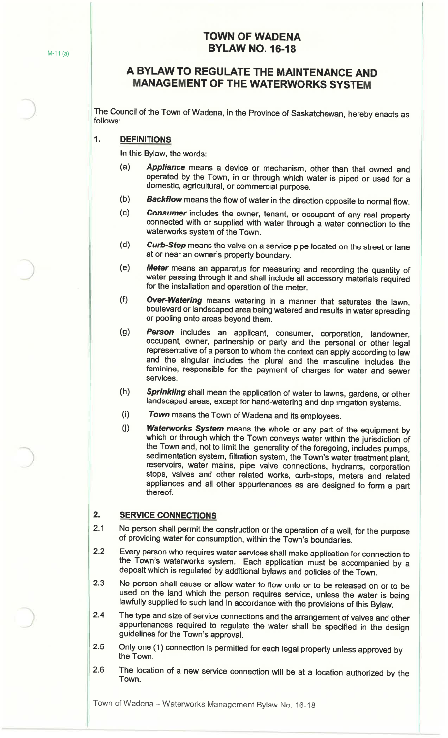# **TOWN OF WADENA BYLAW NO. 16-18**

# **A BYLAW TO REGULATE THE MAINTENANCE AND MANAGEMENT OF THE WATERWORKS SYSTEM**

The Council of the Town of Wadena, in the Province of Saskatchewan, hereby enacts as follows:

#### **1. DEFINITIONS**

In this Bylaw, the words:

- (a) **Appliance** means a device or mechanism, other than that owned and operated by the Town, in or through which water is piped or used for a domestic, agricultural, or commercial purpose.
- (b) **Backflow** means the flow of water in the direction opposite to normal flow.
- (c) **Consumer** includes the owner, tenant, or occupant of any real property connected with or supplied with water through a water connection to the waterworks system of the Town.
- (d) **Curb-Stop** means the valve on a service pipe located on the street or lane at or near an owner's property boundary.
- ( e) **Meter** means an apparatus for measuring and recording the quantity of water passing through it and shall include all accessory materials required for the installation and operation of the meter.
- (f) **Over-Watering** means watering in a manner that saturates the lawn, boulevard or landscaped area being watered and results in water spreading or pooling onto areas beyond them.
- (g) **Person** includes an applicant, consumer, corporation, landowner, occupant, owner, partnership or party and the personal or other legal representative of a person to whom the context can apply according to law and the singular includes the plural and the masculine includes the feminine, responsible for the payment of charges for water and sewer services.
- (h) **Sprinkling** shall mean the application of water to lawns, gardens, or other landscaped areas, except for hand-watering and drip irrigation systems.
- (i) **Town** means the Town of Wadena and its employees.
- U) **Waterworks System** means the whole or any part of the equipment by which or through which the Town conveys water within the jurisdiction of the Town and, not to limit the generality of the foregoing, includes pumps, sedimentation system, filtration system, the Town's water treatment plant, reservoirs, water mains, pipe valve connections, hydrants, corporation stops, valves and other related works, curb-stops, meters and related appliances and all other appurtenances as are designed to form a part thereof.

## **2. SERVICE CONNECTIONS**

- 2.1 No person shall permit the construction or the operation of a well, for the purpose of providing water for consumption, within the Town's boundaries.
- 2.2 Every person who requires water services shall make application for connection to the Town's waterworks system. Each application must be accompanied by a deposit which is regulated by additional bylaws and policies of the Town.
- 2.3 No person shall cause or allow water to flow onto or to be released on or to be used on the land which the person requires service, unless the water is being lawfully supplied to such land in accordance with the provisions of this Bylaw.
- 2.4 The type and size of service connections and the arrangement of valves and other appurtenances required to regulate the water shall be specified in the design guidelines for the Town's approval.
- 2.5 Only one (1) connection is permitted for each legal property unless approved by the Town.
- 2.6 The location of a new service connection will be at a location authorized by the Town.

Town of Wadena - Waterworks Management Bylaw No. 16-18

)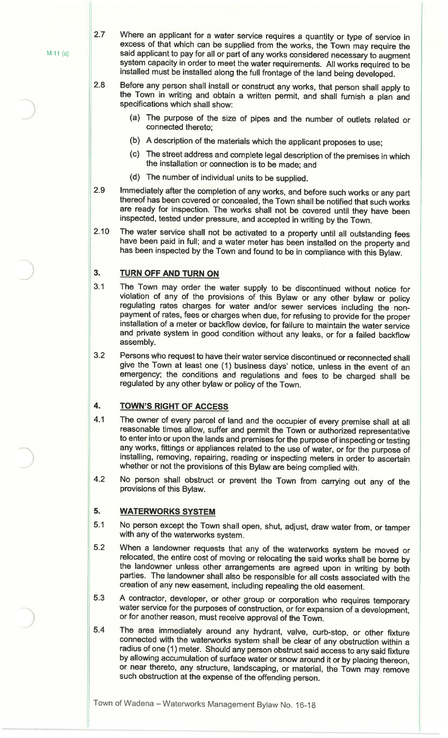M-11 (a)

 $2.7$ 

Where an applicant for a water service requires a quantity or type of service in excess of that which can be supplied from the works, the Town may require the said applicant to pay for all or part of any works considered necessary to augment system capacity in order to meet the water requirements. All works required to be installed must be installed along the full frontage of the land being developed.

2.8 Before any person shall install or construct any works, that person shall apply to the Town in writing and obtain a written permit, and shall furnish a plan and specifications which shall show:

- (a} The purpose of the size of pipes and the number of outlets related or connected thereto;
- (b) A description of the materials which the applicant proposes to use;
- (c} The street address and complete legal description of the premises in which the installation or connection is to be made; and
- (d} The number of individual units to be supplied.
- 2.9 Immediately after the completion of any works, and before such works or any part thereof has been covered or concealed, the Town shall be notified that such works are ready for inspection. The works shall not be covered until they have been inspected, tested under pressure, and accepted in writing by the Town.
- 2.10 The water service shall not be activated to a property until all outstanding fees have been paid in full; and a water meter has been installed on the property and has been inspected by the Town and found to be in compliance with this Bylaw.

#### **3. TURN OFF AND TURN ON**

- 3.1 The Town may order the water supply to be discontinued without notice for violation of any of the provisions of this Bylaw or any other bylaw or policy regulating rates charges for water and/or sewer services including the nonpayment of rates, fees or charges when due, for refusing to provide for the proper installation of a meter or backflow device, for failure to maintain the water service and private system in good condition without any leaks, or for a failed backflow assembly.
- 3.2 Persons who request to have their water service discontinued or reconnected shall give the Town at least one (1) business days' notice, unless in the event of an emergency; the conditions and regulations and fees to be charged shall be regulated by any other bylaw or policy of the Town.

## **4. TOWN'S RIGHT OF ACCESS**

- 4.1 The owner of every parcel of land and the occupier of every premise shall at all reasonable times allow, suffer and permit the Town or authorized representative to enter into or upon the lands and premises for the purpose of inspecting or testing any works, fittings or appliances related to the use of water, or for the purpose of installing, removing, repairing, reading or inspecting meters in order to ascertain whether or not the provisions of this Bylaw are being complied with.
- 4.2 No person shall obstruct or prevent the Town from carrying out any of the provisions of this Bylaw.

#### **5. WATERWORKS SYSTEM**

- 5.1 No person except the Town shall open, shut, adjust, draw water from, or tamper with any of the waterworks system.
- 5.2 When a landowner requests that any of the waterworks system be moved or relocated, the entire cost of moving or relocating the said works shall be borne by the landowner unless other arrangements are agreed upon in writing by both parties. The landowner shall also be responsible for all costs associated with the creation of any new easement, including repealing the old easement.
- 5.3 A contractor, developer, or other group or corporation who requires temporary water service for the purposes of construction, or for expansion of a development, or for another reason, must receive approval of the Town.
- 5.4 The area immediately around any hydrant, valve, curb-stop, or other fixture connected with the waterworks system shall be clear of any obstruction within a radius of one (1} meter. Should any person obstruct said access to any said fixture by allowing accumulation of surface water or snow around it or by placing thereon, or near thereto, any structure, landscaping, or material, the Town may remove such obstruction at the expense of the offending person.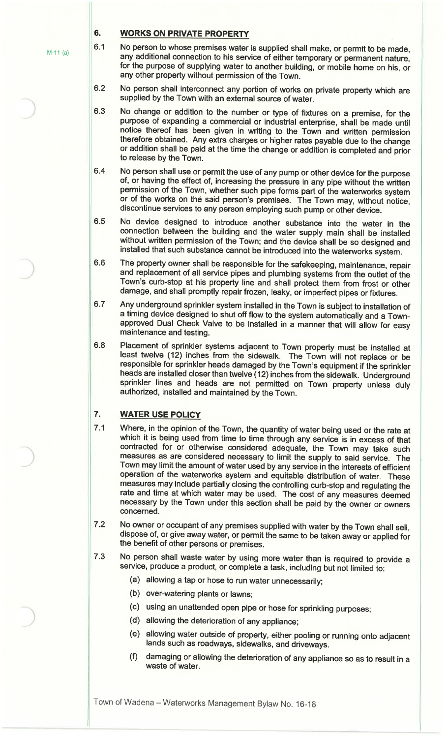## **6. WORKS ON PRIVATE PROPERTY**

- 6.1 No person to whose premises water is supplied shall make, or permit to be made, any additional connection to his service of either temporary or permanent nature, for the purpose of supplying water to another building, or mobile home on his, or any other property without permission of the Town.
- 6.2 No person shall interconnect any portion of works on private property which are supplied by the Town with an external source of water.
- 6.3 No change or addition to the number or type of fixtures on a premise, for the purpose of expanding a commercial or industrial enterprise, shall be made until notice thereof has been given in writing to the Town and written permission therefore obtained. Any extra charges or higher rates payable due to the change or addition shall be paid at the time the change or addition is completed and prior to release by the Town.
- 6.4 No person shall use or permit the use of any pump or other device for the purpose of, or having the effect of, increasing the pressure in any pipe without the written permission of the Town, whether such pipe forms part of the waterworks system or of the works on the said person's premises. The Town may, without notice, discontinue services to any person employing such pump or other device.
- 6.5 No device designed to introduce another substance into the water in the connection between the building and the water supply main shall be installed without written permission of the Town; and the device shall be so designed and installed that such substance cannot be introduced into the waterworks system.
- 6.6 The property owner shall be responsible for the safekeeping, maintenance, repair and replacement of all service pipes and plumbing systems from the outlet of the Town's curb-stop at his property line and shall protect them from frost or other damage, and shall promptly repair frozen, leaky, or imperfect pipes or fixtures.
- 6.7 Any underground sprinkler system installed in the Town is subject to installation of a timing device designed to shut off flow to the system automatically and a Townapproved Dual Check Valve to be installed in a manner that will allow for easy maintenance and testing.
- 6.8 Placement of sprinkler systems adjacent to Town property must be installed at least twelve (12) inches from the sidewalk. The Town will not replace or be responsible for sprinkler heads damaged by the Town's equipment if the sprinkler heads are installed closer than twelve (12) inches from the sidewalk. Underground sprinkler lines and heads are not permitted on Town property unless duly authorized, installed and maintained by the Town.

# **7. WATER USE POLICY**

- 7.1 Where, in the opinion of the Town, the quantity of water being used or the rate at which it is being used from time to time through any service is in excess of that contracted for or otherwise considered adequate, the Town may take such measures as are considered necessary to limit the supply to said service. The Town may limit the amount of water used by any service in the interests of efficient operation of the waterworks system and equitable distribution of water. These measures may include partially closing the controlling curb-stop and regulating the rate and time at which water may be used. The cost of any measures deemed necessary by the Town under this section shall be paid by the owner or owners concerned.
- 7.2 No owner or occupant of any premises supplied with water by the Town shall sell, dispose of, or give away water, or permit the same to be taken away or applied for the benefit of other persons or premises.
- 7.3 No person shall waste water by using more water than is required to provide a service, produce a product, or complete a task, including but not limited to:
	- {a) allowing a tap or hose to run water unnecessarily;
	- (b) over-watering plants or lawns;
	- (c) using an unattended open pipe or hose for sprinkling purposes;
	- (d) allowing the deterioration of any appliance;
	- (e) allowing water outside of property, either pooling or running onto adjacent lands such as roadways, sidewalks, and driveways.
	- damaging or allowing the deterioration of any appliance so as to result in a waste of water.

M-11 (a)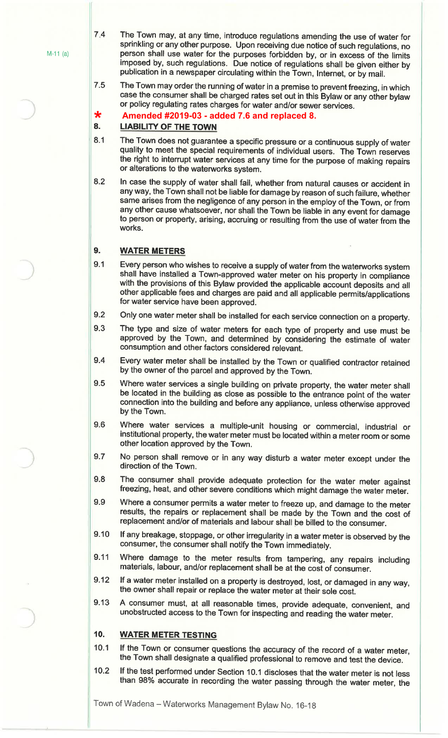**\***

7.4 The Town may, at any time, introduce regulations amending the use of water for sprinkling or any other purpose. Upon receiving due notice of such regulations, no person shall use water for the purposes forbidden by, or in excess of the limits imposed by, such regulations. Due notice of regulations shall be given either by publication in a newspaper circulating within the Town, Internet, or by mail.

7.5 The Town may order the running of water in a premise to prevent freezing, in which case the consumer shall be charged rates set out in this Bylaw or any other bylaw or policy regulating rates charges for water and/or sewer services.

#### **Amended #2019-03 - added 7.6 and replaced 8.**

#### **8. LIABILITY OF THE TOWN**

- 8.1 The Town does not guarantee a specific pressure or a continuous supply of water quality to meet the special requirements of individual users. The Town reserves the right to interrupt water services at any time for the purpose of making repairs or alterations to the waterworks system.
- 8.2 In case the supply of water shall fail, whether from natural causes or accident in any way, the Town shall not be liable for damage by reason of such failure, whether same arises from the negligence of any person in the employ of the Town, or from any other cause whatsoever, nor shall the Town be liable in any event for damage to person or property, arising, accruing or resulting from the use of water from the works.

#### **9. WATER METERS**

- 9.1 Every person who wishes to receive a supply of water from the waterworks system shall have installed a Town-approved water meter on his property in compliance with the provisions of this Bylaw provided the applicable account deposits and all other applicable fees and charges are paid and all applicable permits/applications for water service have been approved.
- 9.2 Only one water meter shall be installed for each service connection on a property.
- 9.3 The type and size of water meters for each type of property and use must be approved by the Town, and determined by considering the estimate of water consumption and other factors considered relevant.
- 9.4 Every water meter shall be installed by the Town or qualified contractor retained by the owner of the parcel and approved by the Town.
- 9.5 Where water services a single building on private property, the water meter shall be located in the building as close as possible to the entrance point of the water connection into the building and before any appliance, unless otherwise approved by the Town.
- 9.6 Where water services a multiple-unit housing or commercial, industrial or institutional property, the water meter must be located within a meter room or some other location approved by the Town.
- 9.7 No person shall remove or in any way disturb a water meter except under the direction of the Town.
- 9.8 The consumer shall provide adequate protection for the water meter against freezing, heat, and other severe conditions which might damage the water meter.
- 9.9 Where a consumer permits a water meter to freeze up, and damage to the meter results, the repairs or replacement shall be made by the Town and the cost of replacement and/or of materials and labour shall be billed to the consumer.
- 9.10 If any breakage, stoppage, or other irregularity in a water meter is observed by the consumer, the consumer shall notify the Town immediately.
- 9.11 Where damage to the meter results from tampering, any repairs including materials, labour, and/or replacement shall be at the cost of consumer.
- 9.12 If a water meter installed on a property is destroyed, lost, or damaged in any way, the owner shall repair or replace the water meter at their sole cost.
- 9.13 A consumer must, at all reasonable times, provide adequate, convenient, and unobstructed access to the Town for inspecting and reading the water meter.

#### **10. WATER METER TESTING**

- 10.1 If the Town or consumer questions the accuracy of the record of a water meter, the Town shall designate a qualified professional to remove and test the device.
- 10.2 If the test performed under Section 10.1 discloses that the water meter is not less than 98% accurate in recording the water passing through the water meter, the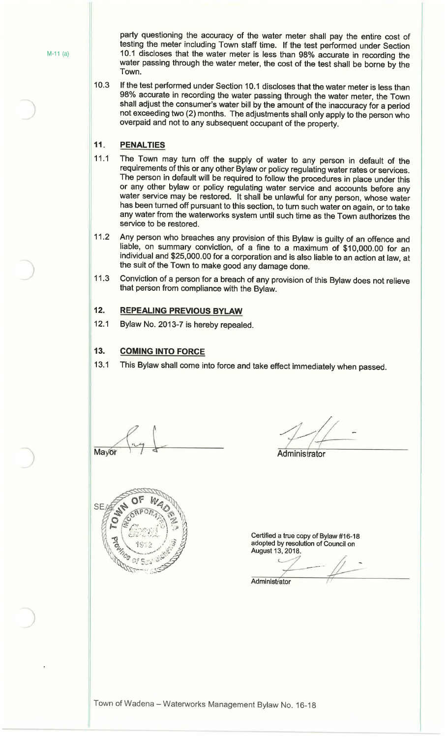party questioning the accuracy of the water meter shall pay the entire cost of testing the meter including Town staff time. If the test performed under Section M-11 (a) 10.1 discloses that the water meter is less than 98% accurate in recording the water passing through the water meter, the cost of the test shall be borne by the Town.

> 10.3 If the test performed under Section 10.1 discloses that the water meter is less than 98% accurate in recording the water passing through the water meter, the Town shall adjust the consumer's water bill by the amount of the inaccuracy for a period not exceeding two (2) months. The adjustments shall only apply to the person who overpaid and not to any subsequent occupant of the property.

#### **11 . PENAL TIES**

- 11.1 The Town may turn off the supply of water to any person in default of the requirements of this or any other Bylaw or policy regulating water rates or services. The person in default will be required to follow the procedures in place under this or any other bylaw or policy regulating water service and accounts before any water service may be restored. It shall be unlawful for any person, whose water has been turned off pursuant to this section, to tum such water on again, or to take any water from the waterworks system until such time as the Town authorizes the service to be restored.
- 11.2 Any person who breaches any provision of this Bylaw is guilty of an offence and liable, on summary conviction, of a fine to a maximum of \$10,000.00 for an individual and \$25,000.00 for a corporation and is also liable to an action at law, at the suit of the Town to make good any damage done.
- 11.3 Conviction of a person for a breach of any provision of this Bylaw does not relieve that person from compliance with the Bylaw.

#### **12. REPEALING PREVIOUS BYLAW**

12.1 Bylaw No. 2013-7 is hereby repealed.

#### **13. COMING INTO FORCE**

13.1 This Bylaw shall come into force and take effect immediately when passed.

Mayor

 $/$  . *r ~* 

#### **Administrator**



Certified a true copy of Bylaw #16-18 adopted by resolution of Council on **August 13, 2018.** 

**Administrator**